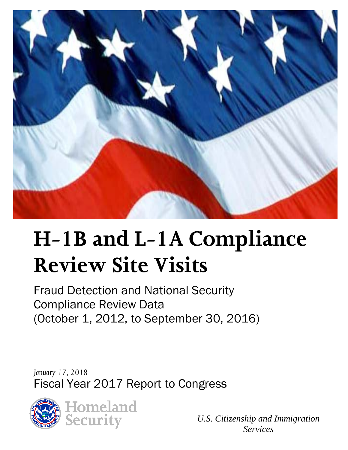

# **H-1B and L-1A Compliance Review Site Visits**

Fraud Detection and National Security Compliance Review Data (October 1, 2012, to September 30, 2016)

*January 17, 2018*  Fiscal Year 2017 Report to Congress



*U.S. Citizenship and Immigration Services*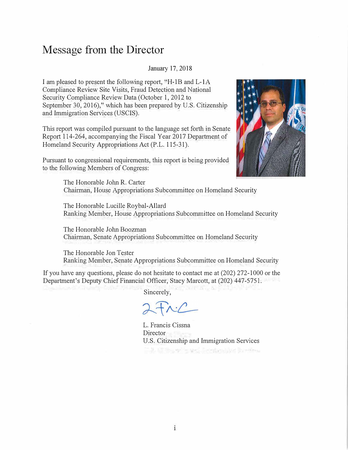### **Message from the Director**

#### January 17, 2018

I am pleased to present the following report, "H-1B and L-1A" Compliance Review Site Visits, Fraud Detection and National Security Compliance Review Data (October 1, 2012 to September 30, 2016)," which has been prepared by U.S. Citizenship and Immigration Services (USCIS).

This report was compiled pursuant to the language set forth in Senate Report 114-264, accompanying the Fiscal Year 2017 Department of Homeland Security Appropriations Act (P.L. 115-31 ).

Pursuant to congressional requirements, this report is being provided to the following Members of Congress:



The Honorable John R. Carter Chairman, House Appropriations Subcommittee on Homeland Security

The Honorable Lucille Roybal-Allard Ranking Member, House Appropriations Subcommittee on Homeland Security

The Honorable John Boozman Chairman, Senate Appropriations Subcommittee on Homeland Security

The Honorable Jon Tester Ranking Member, Senate Appropriations Subcommittee on Homeland Security

If you have any questions, please do not hesitate to contact me at (202) 272-1000 or the Department's Deputy Chief Financial Officer, Stacy Marcott, at (202) 447-5751.

Sincerely,

 $2 + nC$ 

L. Francis Cissna **Director** U.S. Citizenship and Immigration ServicesThe fill the wing was freedominate for every

**CONTRACTOR**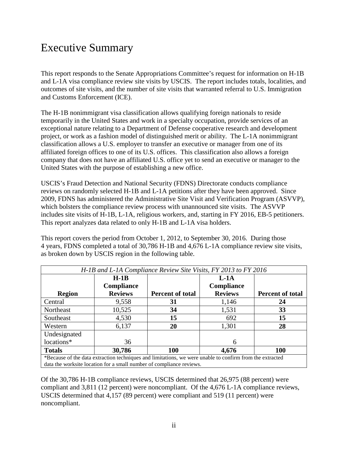### Executive Summary

This report responds to the Senate Appropriations Committee's request for information on H-1B and L-1A visa compliance review site visits by USCIS. The report includes totals, localities, and outcomes of site visits, and the number of site visits that warranted referral to U.S. Immigration and Customs Enforcement (ICE).

The H-1B nonimmigrant visa classification allows qualifying foreign nationals to reside temporarily in the United States and work in a specialty occupation, provide services of an exceptional nature relating to a Department of Defense cooperative research and development project, or work as a fashion model of distinguished merit or ability. The L-1A nonimmigrant classification allows a U.S. employer to transfer an executive or manager from one of its affiliated foreign offices to one of its U.S. offices. This classification also allows a foreign company that does not have an affiliated U.S. office yet to send an executive or manager to the United States with the purpose of establishing a new office.

USCIS's Fraud Detection and National Security (FDNS) Directorate conducts compliance reviews on randomly selected H-1B and L-1A petitions after they have been approved. Since 2009, FDNS has administered the Administrative Site Visit and Verification Program (ASVVP), which bolsters the compliance review process with unannounced site visits. The ASVVP includes site visits of H-1B, L-1A, religious workers, and, starting in FY 2016, EB-5 petitioners. This report analyzes data related to only H-1B and L-1A visa holders.

This report covers the period from October 1, 2012, to September 30, 2016. During those 4 years, FDNS completed a total of 30,786 H-1B and 4,676 L-1A compliance review site visits, as broken down by USCIS region in the following table.

| H-1B and L-1A Compliance Review Site Visits, FY 2013 to FY 2016 |                                                                                                          |                         |                   |                         |  |  |  |
|-----------------------------------------------------------------|----------------------------------------------------------------------------------------------------------|-------------------------|-------------------|-------------------------|--|--|--|
|                                                                 | $H-1B$                                                                                                   |                         | $L-1A$            |                         |  |  |  |
|                                                                 | <b>Compliance</b>                                                                                        |                         | <b>Compliance</b> |                         |  |  |  |
| <b>Region</b>                                                   | <b>Reviews</b>                                                                                           | <b>Percent of total</b> | <b>Reviews</b>    | <b>Percent of total</b> |  |  |  |
| Central                                                         | 9,558                                                                                                    | 31                      | 1,146             | 24                      |  |  |  |
| Northeast                                                       | 10,525                                                                                                   | 34                      | 1,531             | 33                      |  |  |  |
| Southeast                                                       | 4,530                                                                                                    | 15                      | 692               | 15                      |  |  |  |
| Western                                                         | 6,137                                                                                                    | 20                      | 1,301             | 28                      |  |  |  |
| Undesignated                                                    |                                                                                                          |                         |                   |                         |  |  |  |
| locations*                                                      | 36                                                                                                       |                         | 6                 |                         |  |  |  |
| <b>Totals</b>                                                   | 30,786                                                                                                   | 100                     | 4,676             | 100                     |  |  |  |
|                                                                 | *Because of the data extraction techniques and limitations, we were unable to confirm from the extracted |                         |                   |                         |  |  |  |
|                                                                 | data the worksite location for a small number of compliance reviews.                                     |                         |                   |                         |  |  |  |

Of the 30,786 H-1B compliance reviews, USCIS determined that 26,975 (88 percent) were compliant and 3,811 (12 percent) were noncompliant. Of the 4,676 L-1A compliance reviews, USCIS determined that 4,157 (89 percent) were compliant and 519 (11 percent) were noncompliant.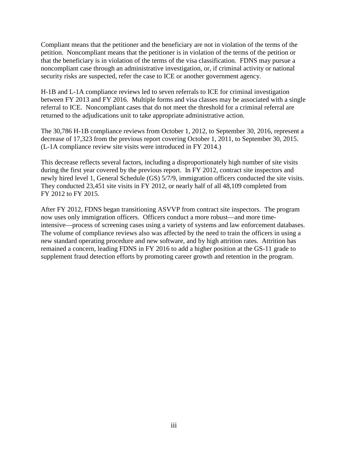Compliant means that the petitioner and the beneficiary are not in violation of the terms of the petition. Noncompliant means that the petitioner is in violation of the terms of the petition or that the beneficiary is in violation of the terms of the visa classification. FDNS may pursue a noncompliant case through an administrative investigation, or, if criminal activity or national security risks are suspected, refer the case to ICE or another government agency.

H-1B and L-1A compliance reviews led to seven referrals to ICE for criminal investigation between FY 2013 and FY 2016. Multiple forms and visa classes may be associated with a single referral to ICE. Noncompliant cases that do not meet the threshold for a criminal referral are returned to the adjudications unit to take appropriate administrative action.

The 30,786 H-1B compliance reviews from October 1, 2012, to September 30, 2016, represent a decrease of 17,323 from the previous report covering October 1, 2011, to September 30, 2015. (L-1A compliance review site visits were introduced in FY 2014.)

This decrease reflects several factors, including a disproportionately high number of site visits during the first year covered by the previous report. In FY 2012, contract site inspectors and newly hired level 1, General Schedule (GS) 5/7/9, immigration officers conducted the site visits. They conducted 23,451 site visits in FY 2012, or nearly half of all 48,109 completed from FY 2012 to FY 2015.

After FY 2012, FDNS began transitioning ASVVP from contract site inspectors. The program now uses only immigration officers. Officers conduct a more robust—and more timeintensive—process of screening cases using a variety of systems and law enforcement databases. The volume of compliance reviews also was affected by the need to train the officers in using a new standard operating procedure and new software, and by high attrition rates. Attrition has remained a concern, leading FDNS in FY 2016 to add a higher position at the GS-11 grade to supplement fraud detection efforts by promoting career growth and retention in the program.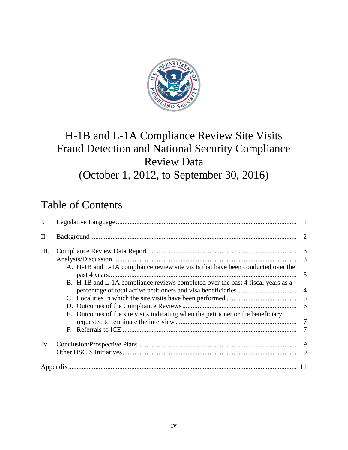

# H-1B and L-1A Compliance Review Site Visits Fraud Detection and National Security Compliance Review Data (October 1, 2012, to September 30, 2016)

## Table of Contents

| I.  |                                                                                  |   |
|-----|----------------------------------------------------------------------------------|---|
| II. |                                                                                  |   |
| Ш.  |                                                                                  | 3 |
|     | A. H-1B and L-1A compliance review site visits that have been conducted over the | 3 |
|     | B. H-1B and L-1A compliance reviews completed over the past 4 fiscal years as a  |   |
|     |                                                                                  |   |
|     |                                                                                  |   |
|     | E. Outcomes of the site visits indicating when the petitioner or the beneficiary |   |
|     |                                                                                  |   |
|     |                                                                                  |   |
| IV. |                                                                                  |   |
|     |                                                                                  | 9 |
|     |                                                                                  |   |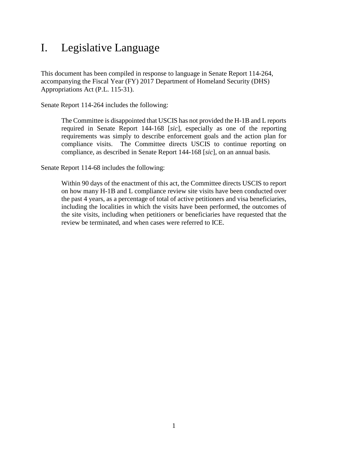### <span id="page-5-0"></span>I. Legislative Language

This document has been compiled in response to language in Senate Report 114-264, accompanying the Fiscal Year (FY) 2017 Department of Homeland Security (DHS) Appropriations Act (P.L. 115-31).

Senate Report 114-264 includes the following:

The Committee is disappointed that USCIS has not provided the H-1B and L reports required in Senate Report 144-168 [*sic*], especially as one of the reporting requirements was simply to describe enforcement goals and the action plan for compliance visits. The Committee directs USCIS to continue reporting on compliance, as described in Senate Report 144-168 [*sic*], on an annual basis.

Senate Report 114-68 includes the following:

Within 90 days of the enactment of this act, the Committee directs USCIS to report on how many H-1B and L compliance review site visits have been conducted over the past 4 years, as a percentage of total of active petitioners and visa beneficiaries, including the localities in which the visits have been performed, the outcomes of the site visits, including when petitioners or beneficiaries have requested that the review be terminated, and when cases were referred to ICE.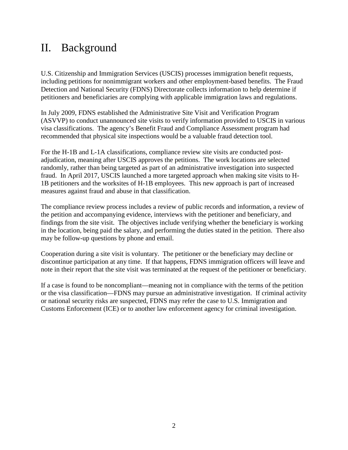### <span id="page-6-0"></span>II. Background

U.S. Citizenship and Immigration Services (USCIS) processes immigration benefit requests, including petitions for nonimmigrant workers and other employment-based benefits. The Fraud Detection and National Security (FDNS) Directorate collects information to help determine if petitioners and beneficiaries are complying with applicable immigration laws and regulations.

In July 2009, FDNS established the Administrative Site Visit and Verification Program (ASVVP) to conduct unannounced site visits to verify information provided to USCIS in various visa classifications. The agency's Benefit Fraud and Compliance Assessment program had recommended that physical site inspections would be a valuable fraud detection tool.

For the H-1B and L-1A classifications, compliance review site visits are conducted postadjudication, meaning after USCIS approves the petitions. The work locations are selected randomly, rather than being targeted as part of an administrative investigation into suspected fraud. In April 2017, USCIS launched a more targeted approach when making site visits to H-1B petitioners and the worksites of H-1B employees. This new approach is part of increased measures against fraud and abuse in that classification.

The compliance review process includes a review of public records and information, a review of the petition and accompanying evidence, interviews with the petitioner and beneficiary, and findings from the site visit. The objectives include verifying whether the beneficiary is working in the location, being paid the salary, and performing the duties stated in the petition. There also may be follow-up questions by phone and email.

Cooperation during a site visit is voluntary. The petitioner or the beneficiary may decline or discontinue participation at any time. If that happens, FDNS immigration officers will leave and note in their report that the site visit was terminated at the request of the petitioner or beneficiary.

If a case is found to be noncompliant—meaning not in compliance with the terms of the petition or the visa classification—FDNS may pursue an administrative investigation. If criminal activity or national security risks are suspected, FDNS may refer the case to U.S. Immigration and Customs Enforcement (ICE) or to another law enforcement agency for criminal investigation.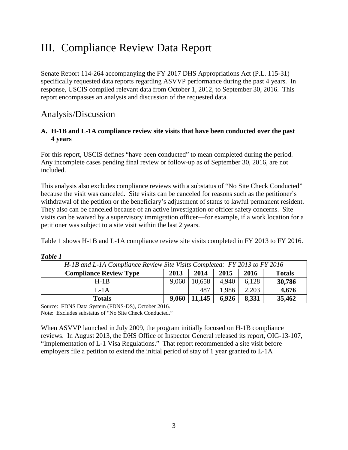### <span id="page-7-0"></span>III. Compliance Review Data Report

Senate Report 114-264 accompanying the FY 2017 DHS Appropriations Act (P.L. 115-31) specifically requested data reports regarding ASVVP performance during the past 4 years. In response, USCIS compiled relevant data from October 1, 2012, to September 30, 2016. This report encompasses an analysis and discussion of the requested data.

### <span id="page-7-1"></span>Analysis/Discussion

#### <span id="page-7-2"></span>**A. H-1B and L-1A compliance review site visits that have been conducted over the past 4 years**

For this report, USCIS defines "have been conducted" to mean completed during the period. Any incomplete cases pending final review or follow-up as of September 30, 2016, are not included.

This analysis also excludes compliance reviews with a substatus of "No Site Check Conducted" because the visit was canceled. Site visits can be canceled for reasons such as the petitioner's withdrawal of the petition or the beneficiary's adjustment of status to lawful permanent resident. They also can be canceled because of an active investigation or officer safety concerns. Site visits can be waived by a supervisory immigration officer—for example, if a work location for a petitioner was subject to a site visit within the last 2 years.

Table 1 shows H-1B and L-1A compliance review site visits completed in FY 2013 to FY 2016.

| H-1B and L-1A Compliance Review Site Visits Completed: FY 2013 to FY 2016      |       |        |       |       |        |  |
|--------------------------------------------------------------------------------|-------|--------|-------|-------|--------|--|
| 2014<br>2016<br><b>Compliance Review Type</b><br>2013<br><b>Totals</b><br>2015 |       |        |       |       |        |  |
| $H-1R$                                                                         | 9.060 | 10.658 | 4.940 | 6.128 | 30,786 |  |
| $L-1A$                                                                         |       | 487    | 1.986 | 2,203 | 4,676  |  |
| <b>Totals</b>                                                                  | 9,060 | 11,145 | 6,926 | 8,331 | 35,462 |  |

| l aple<br>o |  |
|-------------|--|
|-------------|--|

Source: FDNS Data System (FDNS-DS), October 2016.

Note: Excludes substatus of "No Site Check Conducted."

When ASVVP launched in July 2009, the program initially focused on H-1B compliance reviews. In August 2013, the DHS Office of Inspector General released its report, OIG-13-107, "Implementation of L-1 Visa Regulations."That report recommended a site visit before employers file a petition to extend the initial period of stay of 1 year granted to L-1A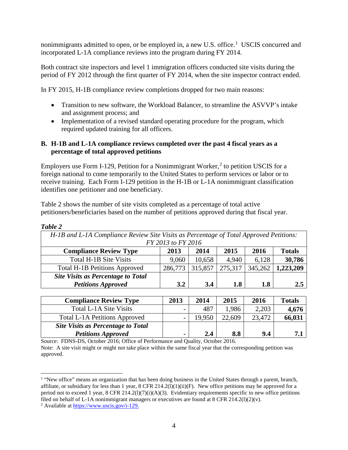nonimmigrants admitted to open, or be employed in, a new U.S. office.<sup>[1](#page-8-1)</sup> USCIS concurred and incorporated L-1A compliance reviews into the program during FY 2014.

Both contract site inspectors and level 1 immigration officers conducted site visits during the period of FY 2012 through the first quarter of FY 2014, when the site inspector contract ended.

In FY 2015, H-1B compliance review completions dropped for two main reasons:

- Transition to new software, the Workload Balancer, to streamline the ASVVP's intake and assignment process; and
- Implementation of a revised standard operating procedure for the program, which required updated training for all officers.

#### <span id="page-8-0"></span>**B. H-1B and L-1A compliance reviews completed over the past 4 fiscal years as a percentage of total approved petitions**

Employers use Form I-1[2](#page-8-2)9, Petition for a Nonimmigrant Worker, $<sup>2</sup>$  to petition USCIS for a</sup> foreign national to come temporarily to the United States to perform services or labor or to receive training. Each Form I-129 petition in the H-1B or L-1A nonimmigrant classification identifies one petitioner and one beneficiary.

Table 2 shows the number of site visits completed as a percentage of total active petitioners/beneficiaries based on the number of petitions approved during that fiscal year.

| ,,,,,<br>υ |  |  |
|------------|--|--|
|            |  |  |

| H-1B and L-1A Compliance Review Site Visits as Percentage of Total Approved Petitions: |                    |         |         |         |           |  |  |
|----------------------------------------------------------------------------------------|--------------------|---------|---------|---------|-----------|--|--|
|                                                                                        | FY 2013 to FY 2016 |         |         |         |           |  |  |
| 2014<br><b>Compliance Review Type</b><br>2013<br><b>Totals</b><br>2015<br>2016         |                    |         |         |         |           |  |  |
| Total H-1B Site Visits                                                                 | 9,060              | 10,658  | 4.940   | 6,128   | 30,786    |  |  |
| <b>Total H-1B Petitions Approved</b>                                                   | 286,773            | 315,857 | 275,317 | 345,262 | 1,223,209 |  |  |
| <b>Site Visits as Percentage to Total</b>                                              |                    |         |         |         |           |  |  |
| <b>Petitions Approved</b>                                                              | 3.2                | 3.4     | 1.8     | 1.8     | 2.5       |  |  |

| <b>Compliance Review Type</b>             | 2013                     | 2014          | 2015   | 2016   | <b>Totals</b> |
|-------------------------------------------|--------------------------|---------------|--------|--------|---------------|
| Total L-1A Site Visits                    | $\overline{\phantom{0}}$ | 487           | 1,986  | 2,203  | 4,676         |
| <b>Total L-1A Petitions Approved</b>      | $\overline{\phantom{0}}$ | 19.950        | 22,609 | 23,472 | 66,031        |
| <b>Site Visits as Percentage to Total</b> |                          |               |        |        |               |
| <b>Petitions Approved</b>                 | $\blacksquare$           | $2.4^{\circ}$ | 8.8    | 9.4    | 71            |

Source: FDNS-DS, October 2016; Office of Performance and Quality, October 2016. Note: A site visit might or might not take place within the same fiscal year that the corresponding petition was approved.

<span id="page-8-1"></span> $\overline{a}$ <sup>1</sup> "New office" means an organization that has been doing business in the United States through a parent, branch, affiliate, or subsidiary for less than 1 year, 8 CFR 214.2(l)(1)(ii)(F). New office petitions may be approved for a period not to exceed 1 year,  $8$  CFR 214.2(l)(7)(i)(A)(3). Evidentiary requirements specific to new office petitions filed on behalf of L-1A nonimmigrant managers or executives are found at  $8$  CFR 214.2(1)(2)(v).

<span id="page-8-2"></span><sup>2</sup> Available at [https://www.uscis.gov/i-129.](https://www.uscis.gov/i-129)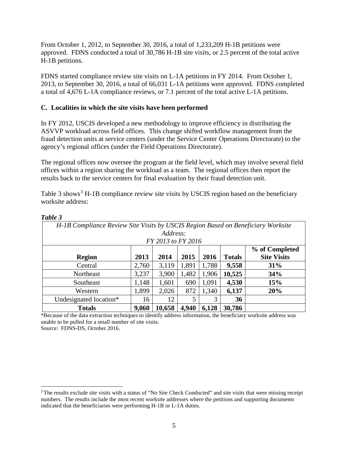From October 1, 2012, to September 30, 2016, a total of 1,233,209 H-1B petitions were approved. FDNS conducted a total of 30,786 H-1B site visits, or 2.5 percent of the total active H-1B petitions.

FDNS started compliance review site visits on L-1A petitions in FY 2014. From October 1, 2013, to September 30, 2016, a total of 66,031 L-1A petitions were approved. FDNS completed a total of 4,676 L-1A compliance reviews, or 7.1 percent of the total active L-1A petitions.

#### <span id="page-9-0"></span>**C. Localities in which the site visits have been performed**

In FY 2012, USCIS developed a new methodology to improve efficiency in distributing the ASVVP workload across field offices. This change shifted workflow management from the fraud detection units at service centers (under the Service Center Operations Directorate) to the agency's regional offices (under the Field Operations Directorate).

The regional offices now oversee the program at the field level, which may involve several field offices within a region sharing the workload as a team. The regional offices then report the results back to the service centers for final evaluation by their fraud detection unit.

Table [3](#page-9-1) shows<sup>3</sup> H-1B compliance review site visits by USCIS region based on the beneficiary worksite address:

| H-1B Compliance Review Site Visits by USCIS Region Based on Beneficiary Worksite |                |                    |       |       |               |                    |  |  |
|----------------------------------------------------------------------------------|----------------|--------------------|-------|-------|---------------|--------------------|--|--|
|                                                                                  | Address:       |                    |       |       |               |                    |  |  |
|                                                                                  |                | FY 2013 to FY 2016 |       |       |               |                    |  |  |
|                                                                                  | % of Completed |                    |       |       |               |                    |  |  |
| <b>Region</b>                                                                    | 2013           | 2014               | 2015  | 2016  | <b>Totals</b> | <b>Site Visits</b> |  |  |
| Central                                                                          | 2,760          | 3,119              | 1,891 | 1,788 | 9,558         | 31%                |  |  |
| Northeast                                                                        | 3,237          | 3,900              | 1,482 | 1,906 | 10,525        | 34%                |  |  |
| Southeast                                                                        | 1,148          | 1,601              | 690   | 1,091 | 4,530         | 15%                |  |  |
| Western                                                                          | 1,899          | 2,026              | 872   | 1,340 | 6,137         | 20%                |  |  |
| Undesignated location*                                                           | 16             | 12                 |       | 3     | 36            |                    |  |  |
| <b>Totals</b>                                                                    | 9,060          | 10,658             | 4,940 | 6,128 | 30,786        |                    |  |  |

#### *Table 3*

l

\*Because of the data extraction techniques to identify address information, the beneficiary worksite address was unable to be pulled for a small number of site visits.

Source: FDNS-DS, October 2016.

<span id="page-9-1"></span><sup>&</sup>lt;sup>3</sup>The results exclude site visits with a status of "No Site Check Conducted" and site visits that were missing receipt numbers. The results include the most recent worksite addresses where the petitions and supporting documents indicated that the beneficiaries were performing H-1B or L-1A duties.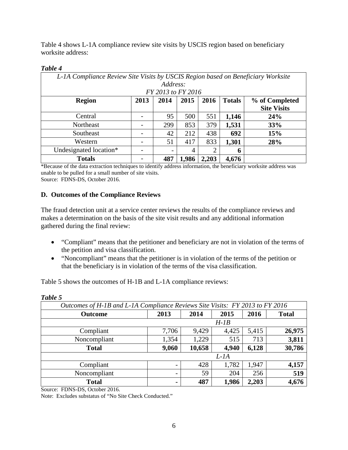Table 4 shows L-1A compliance review site visits by USCIS region based on beneficiary worksite address:

#### *Table 4*

| L-1A Compliance Review Site Visits by USCIS Region based on Beneficiary Worksite |                                                                 |                    |       |                |       |                    |  |
|----------------------------------------------------------------------------------|-----------------------------------------------------------------|--------------------|-------|----------------|-------|--------------------|--|
| Address:                                                                         |                                                                 |                    |       |                |       |                    |  |
|                                                                                  |                                                                 | FY 2013 to FY 2016 |       |                |       |                    |  |
| <b>Region</b>                                                                    | 2013<br>2015<br>2016<br>2014<br><b>Totals</b><br>% of Completed |                    |       |                |       |                    |  |
|                                                                                  |                                                                 |                    |       |                |       | <b>Site Visits</b> |  |
| Central                                                                          |                                                                 | 95                 | 500   | 551            | 1,146 | 24%                |  |
| Northeast                                                                        |                                                                 | 299                | 853   | 379            | 1,531 | <b>33%</b>         |  |
| Southeast                                                                        |                                                                 | 42                 | 212   | 438            | 692   | 15%                |  |
| Western                                                                          |                                                                 | 51                 | 417   | 833            | 1,301 | 28%                |  |
| Undesignated location*                                                           | -                                                               |                    | 4     | $\overline{2}$ | 6     |                    |  |
| <b>Totals</b>                                                                    |                                                                 | 487                | 1,986 | 2,203          | 4,676 |                    |  |

\*Because of the data extraction techniques to identify address information, the beneficiary worksite address was unable to be pulled for a small number of site visits. Source: FDNS-DS, October 2016.

#### <span id="page-10-0"></span>**D. Outcomes of the Compliance Reviews**

The fraud detection unit at a service center reviews the results of the compliance reviews and makes a determination on the basis of the site visit results and any additional information gathered during the final review:

- "Compliant" means that the petitioner and beneficiary are not in violation of the terms of the petition and visa classification.
- "Noncompliant" means that the petitioner is in violation of the terms of the petition or that the beneficiary is in violation of the terms of the visa classification.

Table 5 shows the outcomes of H-1B and L-1A compliance reviews:

| Outcomes of H-1B and L-1A Compliance Reviews Site Visits: FY 2013 to FY 2016 |                          |        |       |       |              |  |
|------------------------------------------------------------------------------|--------------------------|--------|-------|-------|--------------|--|
| <b>Outcome</b>                                                               | 2013                     | 2014   | 2015  | 2016  | <b>Total</b> |  |
| $H$ -1B                                                                      |                          |        |       |       |              |  |
| Compliant                                                                    | 7,706                    | 9,429  | 4,425 | 5,415 | 26,975       |  |
| Noncompliant                                                                 | 1,354                    | 1,229  | 515   | 713   | 3,811        |  |
| <b>Total</b>                                                                 | 9,060                    | 10,658 | 4,940 | 6,128 | 30,786       |  |
|                                                                              | $L$ -1A                  |        |       |       |              |  |
| Compliant                                                                    | $\overline{\phantom{0}}$ | 428    | 1,782 | 1,947 | 4,157        |  |
| Noncompliant                                                                 | -                        | 59     | 204   | 256   | 519          |  |
| <b>Total</b>                                                                 | ۰                        | 487    | 1,986 | 2,203 | 4,676        |  |

*Table 5* 

Source: FDNS-DS, October 2016.

Note: Excludes substatus of "No Site Check Conducted."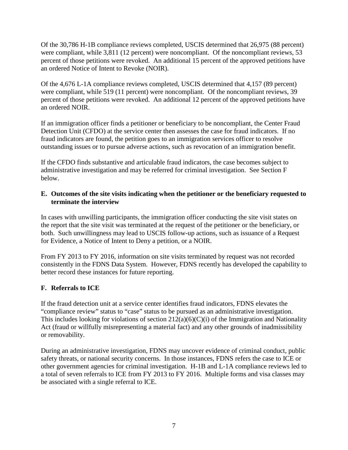Of the 30,786 H-1B compliance reviews completed, USCIS determined that 26,975 (88 percent) were compliant, while 3,811 (12 percent) were noncompliant. Of the noncompliant reviews, 53 percent of those petitions were revoked. An additional 15 percent of the approved petitions have an ordered Notice of Intent to Revoke (NOIR).

Of the 4,676 L-1A compliance reviews completed, USCIS determined that 4,157 (89 percent) were compliant, while 519 (11 percent) were noncompliant. Of the noncompliant reviews, 39 percent of those petitions were revoked. An additional 12 percent of the approved petitions have an ordered NOIR.

If an immigration officer finds a petitioner or beneficiary to be noncompliant, the Center Fraud Detection Unit (CFDO) at the service center then assesses the case for fraud indicators. If no fraud indicators are found, the petition goes to an immigration services officer to resolve outstanding issues or to pursue adverse actions, such as revocation of an immigration benefit.

If the CFDO finds substantive and articulable fraud indicators, the case becomes subject to administrative investigation and may be referred for criminal investigation. See Section F below.

#### <span id="page-11-0"></span>**E. Outcomes of the site visits indicating when the petitioner or the beneficiary requested to terminate the interview**

In cases with unwilling participants, the immigration officer conducting the site visit states on the report that the site visit was terminated at the request of the petitioner or the beneficiary, or both. Such unwillingness may lead to USCIS follow-up actions, such as issuance of a Request for Evidence, a Notice of Intent to Deny a petition, or a NOIR.

From FY 2013 to FY 2016, information on site visits terminated by request was not recorded consistently in the FDNS Data System. However, FDNS recently has developed the capability to better record these instances for future reporting.

#### <span id="page-11-1"></span>**F. Referrals to ICE**

If the fraud detection unit at a service center identifies fraud indicators, FDNS elevates the "compliance review" status to "case" status to be pursued as an administrative investigation. This includes looking for violations of section  $212(a)(6)(C)(i)$  of the Immigration and Nationality Act (fraud or willfully misrepresenting a material fact) and any other grounds of inadmissibility or removability.

During an administrative investigation, FDNS may uncover evidence of criminal conduct, public safety threats, or national security concerns. In those instances, FDNS refers the case to ICE or other government agencies for criminal investigation. H-1B and L-1A compliance reviews led to a total of seven referrals to ICE from FY 2013 to FY 2016. Multiple forms and visa classes may be associated with a single referral to ICE.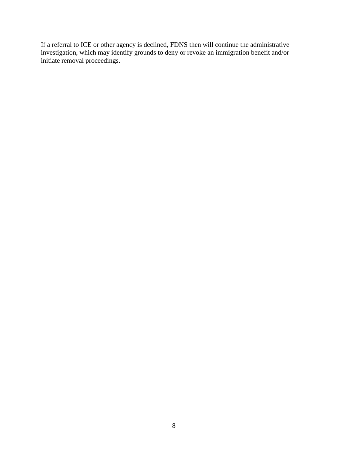If a referral to ICE or other agency is declined, FDNS then will continue the administrative investigation, which may identify grounds to deny or revoke an immigration benefit and/or initiate removal proceedings.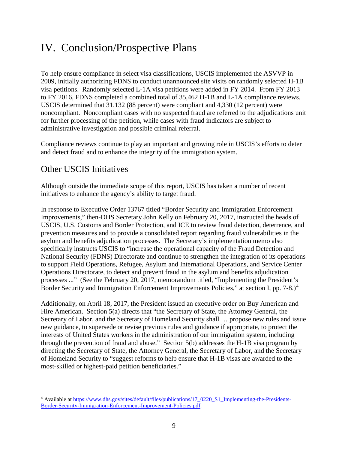### <span id="page-13-0"></span>IV. Conclusion/Prospective Plans

To help ensure compliance in select visa classifications, USCIS implemented the ASVVP in 2009, initially authorizing FDNS to conduct unannounced site visits on randomly selected H-1B visa petitions. Randomly selected L-1A visa petitions were added in FY 2014. From FY 2013 to FY 2016, FDNS completed a combined total of 35,462 H-1B and L-1A compliance reviews. USCIS determined that 31,132 (88 percent) were compliant and 4,330 (12 percent) were noncompliant. Noncompliant cases with no suspected fraud are referred to the adjudications unit for further processing of the petition, while cases with fraud indicators are subject to administrative investigation and possible criminal referral.

Compliance reviews continue to play an important and growing role in USCIS's efforts to deter and detect fraud and to enhance the integrity of the immigration system.

### <span id="page-13-1"></span>Other USCIS Initiatives

Although outside the immediate scope of this report, USCIS has taken a number of recent initiatives to enhance the agency's ability to target fraud.

In response to Executive Order 13767 titled "Border Security and Immigration Enforcement Improvements," then-DHS Secretary John Kelly on February 20, 2017, instructed the heads of USCIS, U.S. Customs and Border Protection, and ICE to review fraud detection, deterrence, and prevention measures and to provide a consolidated report regarding fraud vulnerabilities in the asylum and benefits adjudication processes. The Secretary's implementation memo also specifically instructs USCIS to "increase the operational capacity of the Fraud Detection and National Security (FDNS) Directorate and continue to strengthen the integration of its operations to support Field Operations, Refugee, Asylum and International Operations, and Service Center Operations Directorate, to detect and prevent fraud in the asylum and benefits adjudication processes ..." (See the February 20, 2017, memorandum titled, "Implementing the President's Border Security and Immigration Enforcement Improvements Policies," at section I, pp. 7-8.)<sup>[4](#page-13-2)</sup>

Additionally, on April 18, 2017, the President issued an executive order on Buy American and Hire American. Section 5(a) directs that "the Secretary of State, the Attorney General, the Secretary of Labor, and the Secretary of Homeland Security shall … propose new rules and issue new guidance, to supersede or revise previous rules and guidance if appropriate, to protect the interests of United States workers in the administration of our immigration system, including through the prevention of fraud and abuse." Section 5(b) addresses the H-1B visa program by directing the Secretary of State, the Attorney General, the Secretary of Labor, and the Secretary of Homeland Security to "suggest reforms to help ensure that H-1B visas are awarded to the most-skilled or highest-paid petition beneficiaries."

<span id="page-13-2"></span>l <sup>4</sup> Available at [https://www.dhs.gov/sites/default/files/publications/17\\_0220\\_S1\\_Implementing-the-Presidents-](https://www.dhs.gov/sites/default/files/publications/17_0220_S1_Implementing-the-Presidents-Border-Security-Immigration-Enforcement-Improvement-Policies.pdf)[Border-Security-Immigration-Enforcement-Improvement-Policies.pdf.](https://www.dhs.gov/sites/default/files/publications/17_0220_S1_Implementing-the-Presidents-Border-Security-Immigration-Enforcement-Improvement-Policies.pdf)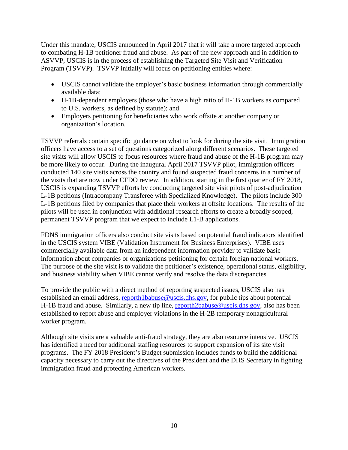Under this mandate, USCIS announced in April 2017 that it will take a more targeted approach to combating H-1B petitioner fraud and abuse. As part of the new approach and in addition to ASVVP, USCIS is in the process of establishing the Targeted Site Visit and Verification Program (TSVVP). TSVVP initially will focus on petitioning entities where:

- USCIS cannot validate the employer's basic business information through commercially available data;
- H-1B-dependent employers (those who have a high ratio of H-1B workers as compared to U.S. workers, as defined by statute); and
- Employers petitioning for beneficiaries who work offsite at another company or organization's location.

TSVVP referrals contain specific guidance on what to look for during the site visit. Immigration officers have access to a set of questions categorized along different scenarios. These targeted site visits will allow USCIS to focus resources where fraud and abuse of the H-1B program may be more likely to occur. During the inaugural April 2017 TSVVP pilot, immigration officers conducted 140 site visits across the country and found suspected fraud concerns in a number of the visits that are now under CFDO review. In addition, starting in the first quarter of FY 2018, USCIS is expanding TSVVP efforts by conducting targeted site visit pilots of post-adjudication L-1B petitions (Intracompany Transferee with Specialized Knowledge). The pilots include 300 L-1B petitions filed by companies that place their workers at offsite locations. The results of the pilots will be used in conjunction with additional research efforts to create a broadly scoped, permanent TSVVP program that we expect to include L1-B applications.

FDNS immigration officers also conduct site visits based on potential fraud indicators identified in the USCIS system VIBE (Validation Instrument for Business Enterprises). VIBE uses commercially available data from an independent information provider to validate basic information about companies or organizations petitioning for certain foreign national workers. The purpose of the site visit is to validate the petitioner's existence, operational status, eligibility, and business viability when VIBE cannot verify and resolve the data discrepancies.

To provide the public with a direct method of reporting suspected issues, USCIS also has established an email address, [reporth1babuse@uscis.dhs.gov,](mailto:reporth1babuse@uscis.dhs.gov) for public tips about potential H-1B fraud and abuse. Similarly, a new tip line, [reporth2babuse@uscis.dhs.gov,](mailto:reporth2babuse@uscis.dhs.gov) also has been established to report abuse and employer violations in the H-2B temporary nonagricultural worker program.

Although site visits are a valuable anti-fraud strategy, they are also resource intensive. USCIS has identified a need for additional staffing resources to support expansion of its site visit programs. The FY 2018 President's Budget submission includes funds to build the additional capacity necessary to carry out the directives of the President and the DHS Secretary in fighting immigration fraud and protecting American workers.